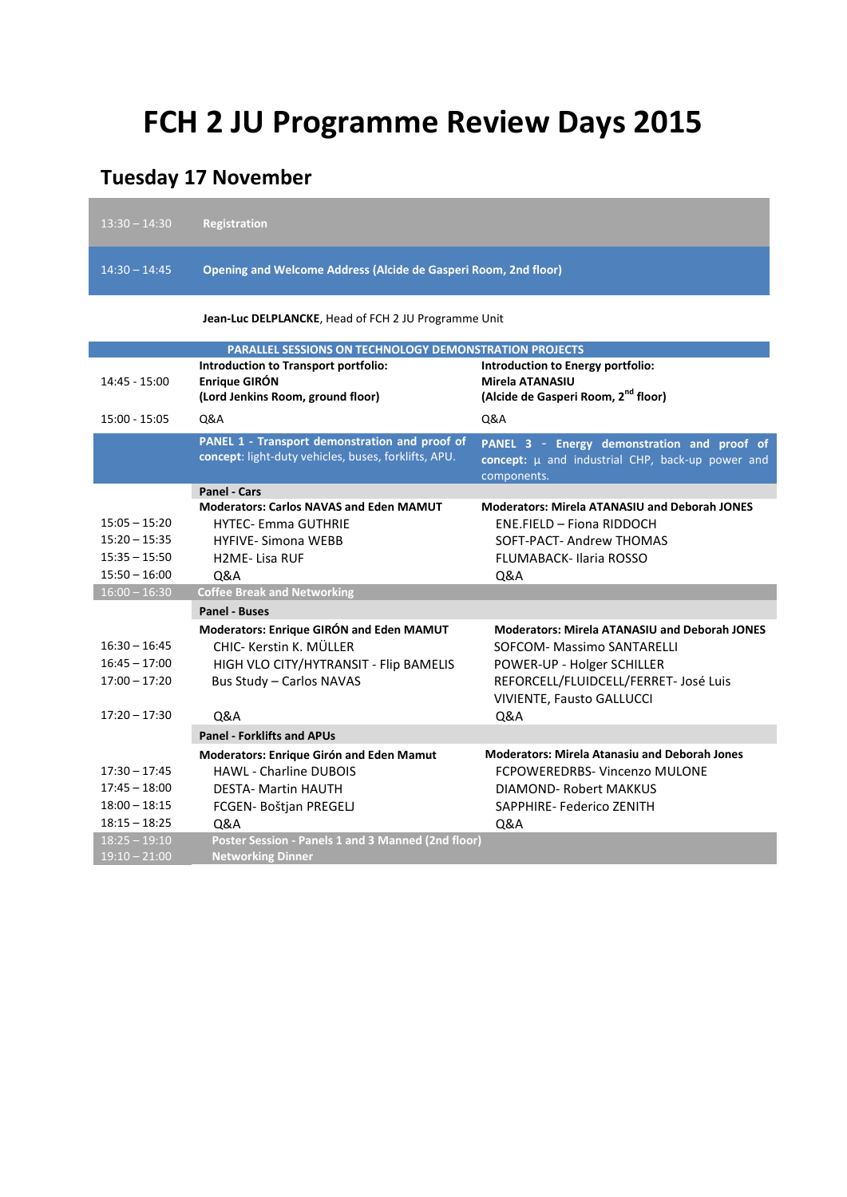## **FCH 2 JU Programme Review Days 2015**

## **Tuesday 17 November**

| $13:30 - 14:30$ | <b>Registration</b>                                                                                    |                                                                                                                    |
|-----------------|--------------------------------------------------------------------------------------------------------|--------------------------------------------------------------------------------------------------------------------|
| $14:30 - 14:45$ | Opening and Welcome Address (Alcide de Gasperi Room, 2nd floor)                                        |                                                                                                                    |
|                 | <b>Jean-Luc DELPLANCKE, Head of FCH 2 JU Programme Unit</b>                                            |                                                                                                                    |
|                 | <b>PARALLEL SESSIONS ON TECHNOLOGY DEMONSTRATION PROJECTS</b>                                          |                                                                                                                    |
| 14:45 - 15:00   | Introduction to Transport portfolio:<br>Enrique GIRÓN<br>(Lord Jenkins Room, ground floor)             | Introduction to Energy portfolio:<br>Mirela ATANASIU<br>(Alcide de Gasperi Room, 2 <sup>nd</sup> floor)            |
| 15:00 - 15:05   | Q&A                                                                                                    | Q&A                                                                                                                |
|                 | PANEL 1 - Transport demonstration and proof of<br>concept: light-duty vehicles, buses, forklifts, APU. | PANEL 3 - Energy demonstration and proof of<br>concept: $\mu$ and industrial CHP, back-up power and<br>components. |
|                 | <b>Panel - Cars</b>                                                                                    |                                                                                                                    |
| $15:05 - 15:20$ | <b>Moderators: Carlos NAVAS and Eden MAMUT</b><br><b>HYTEC- Emma GUTHRIE</b>                           | <b>Moderators: Mirela ATANASIU and Deborah JONES</b><br>ENE.FIELD - Fiona RIDDOCH                                  |
| $15:20 - 15:35$ | <b>HYFIVE-Simona WEBB</b>                                                                              | SOFT-PACT- Andrew THOMAS                                                                                           |
| $15:35 - 15:50$ | <b>H2ME-Lisa RUF</b>                                                                                   | <b>FLUMABACK-Ilaria ROSSO</b>                                                                                      |
| $15:50 - 16:00$ | Q&A                                                                                                    | Q&A                                                                                                                |
| $16:00 - 16:30$ | <b>Coffee Break and Networking</b>                                                                     |                                                                                                                    |
|                 | Panel - Buses                                                                                          |                                                                                                                    |
|                 | Moderators: Enrique GIRÓN and Eden MAMUT                                                               | <b>Moderators: Mirela ATANASIU and Deborah JONES</b>                                                               |
| $16:30 - 16:45$ | CHIC- Kerstin K. MÜLLER                                                                                | <b>SOFCOM- Massimo SANTARELLI</b>                                                                                  |
| $16:45 - 17:00$ | HIGH VLO CITY/HYTRANSIT - Flip BAMELIS                                                                 | POWER-UP - Holger SCHILLER                                                                                         |
| $17:00 - 17:20$ | Bus Study - Carlos NAVAS                                                                               | REFORCELL/FLUIDCELL/FERRET- José Luis                                                                              |
| $17:20 - 17:30$ | Q&A                                                                                                    | VIVIENTE, Fausto GALLUCCI<br>Q&A                                                                                   |
|                 | <b>Panel - Forklifts and APUs</b>                                                                      |                                                                                                                    |
|                 | Moderators: Enrique Girón and Eden Mamut                                                               | <b>Moderators: Mirela Atanasiu and Deborah Jones</b>                                                               |
| $17:30 - 17:45$ | <b>HAWL - Charline DUBOIS</b>                                                                          | FCPOWEREDRBS- Vincenzo MULONE                                                                                      |
| $17:45 - 18:00$ | <b>DESTA- Martin HAUTH</b>                                                                             | DIAMOND- Robert MAKKUS                                                                                             |
| $18:00 - 18:15$ | FCGEN- Boštjan PREGELJ                                                                                 | SAPPHIRE-Federico ZENITH                                                                                           |
| $18:15 - 18:25$ | <b>Q&amp;A</b>                                                                                         | Q&A                                                                                                                |
| $18:25 - 19:10$ | Poster Session - Panels 1 and 3 Manned (2nd floor)                                                     |                                                                                                                    |
| $19:10 - 21:00$ | <b>Networking Dinner</b>                                                                               |                                                                                                                    |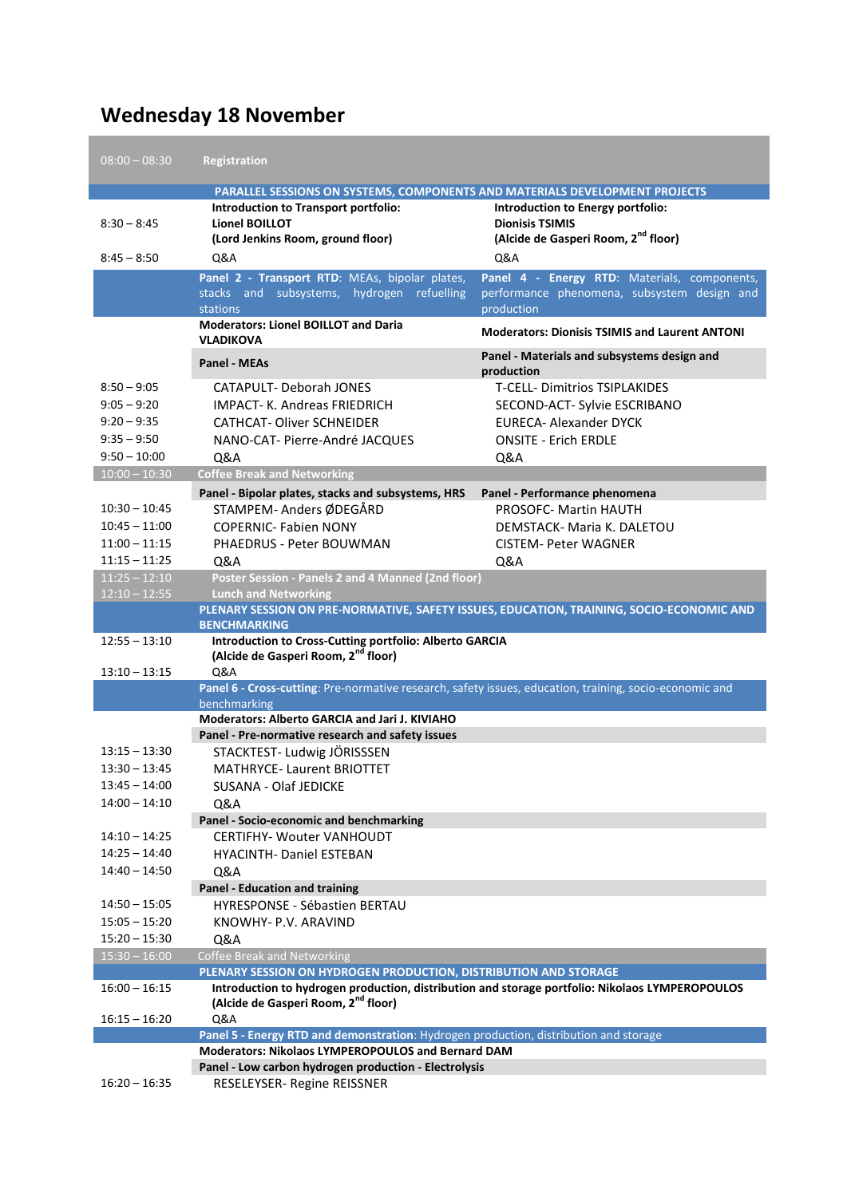## **Wednesday 18 November**

| $08:00 - 08:30$                                                                    | <b>Registration</b>                                                                                                                                           |                                                                                                                                                        |
|------------------------------------------------------------------------------------|---------------------------------------------------------------------------------------------------------------------------------------------------------------|--------------------------------------------------------------------------------------------------------------------------------------------------------|
|                                                                                    | PARALLEL SESSIONS ON SYSTEMS, COMPONENTS AND MATERIALS DEVELOPMENT PROJECTS                                                                                   |                                                                                                                                                        |
| $8:30 - 8:45$                                                                      | Introduction to Transport portfolio:<br><b>Lionel BOILLOT</b><br>(Lord Jenkins Room, ground floor)                                                            | Introduction to Energy portfolio:<br><b>Dionisis TSIMIS</b><br>(Alcide de Gasperi Room, 2 <sup>nd</sup> floor)                                         |
| $8:45 - 8:50$                                                                      | Q&A                                                                                                                                                           | <b>Q&amp;A</b>                                                                                                                                         |
|                                                                                    | Panel 2 - Transport RTD: MEAs, bipolar plates,<br>stacks and subsystems, hydrogen refuelling<br><b>stations</b>                                               | Panel 4 - Energy RTD: Materials, components,<br>performance phenomena, subsystem design and<br>production                                              |
|                                                                                    | <b>Moderators: Lionel BOILLOT and Daria</b><br><b>VLADIKOVA</b>                                                                                               | <b>Moderators: Dionisis TSIMIS and Laurent ANTONI</b>                                                                                                  |
|                                                                                    | <b>Panel - MEAs</b>                                                                                                                                           | Panel - Materials and subsystems design and<br>production                                                                                              |
| $8:50 - 9:05$<br>$9:05 - 9:20$<br>$9:20 - 9:35$<br>$9:35 - 9:50$<br>$9:50 - 10:00$ | <b>CATAPULT- Deborah JONES</b><br><b>IMPACT- K. Andreas FRIEDRICH</b><br><b>CATHCAT- Oliver SCHNEIDER</b><br>NANO-CAT- Pierre-André JACOUES<br><b>Q&amp;A</b> | <b>T-CELL- Dimitrios TSIPLAKIDES</b><br>SECOND-ACT- Sylvie ESCRIBANO<br><b>EURECA- Alexander DYCK</b><br><b>ONSITE - Erich ERDLE</b><br><b>Q&amp;A</b> |
| $10:00 - 10:30$                                                                    | <b>Coffee Break and Networking</b>                                                                                                                            |                                                                                                                                                        |
| $10:30 - 10:45$<br>$10:45 - 11:00$<br>$11:00 - 11:15$<br>$11:15 - 11:25$           | Panel - Bipolar plates, stacks and subsystems, HRS<br>STAMPEM- Anders ØDEGÅRD<br><b>COPERNIC- Fabien NONY</b><br>PHAEDRUS - Peter BOUWMAN<br>Q&A              | Panel - Performance phenomena<br><b>PROSOFC- Martin HAUTH</b><br>DEMSTACK- Maria K. DALETOU<br><b>CISTEM- Peter WAGNER</b><br>Q&A                      |
| $11:25 - 12:10$                                                                    | Poster Session - Panels 2 and 4 Manned (2nd floor)                                                                                                            |                                                                                                                                                        |
| $12:10 - 12:55$                                                                    | <b>Lunch and Networking</b>                                                                                                                                   |                                                                                                                                                        |
|                                                                                    | <b>BENCHMARKING</b>                                                                                                                                           | PLENARY SESSION ON PRE-NORMATIVE, SAFETY ISSUES, EDUCATION, TRAINING, SOCIO-ECONOMIC AND                                                               |
| $12:55 - 13:10$                                                                    | Introduction to Cross-Cutting portfolio: Alberto GARCIA<br>(Alcide de Gasperi Room, 2 <sup>nd</sup> floor)                                                    |                                                                                                                                                        |
| $13:10 - 13:15$                                                                    | Q&A                                                                                                                                                           |                                                                                                                                                        |
|                                                                                    | Panel 6 - Cross-cutting: Pre-normative research, safety issues, education, training, socio-economic and                                                       |                                                                                                                                                        |
|                                                                                    | benchmarking<br><b>Moderators: Alberto GARCIA and Jari J. KIVIAHO</b>                                                                                         |                                                                                                                                                        |
|                                                                                    | Panel - Pre-normative research and safety issues                                                                                                              |                                                                                                                                                        |
| $13:15 - 13:30$                                                                    | STACKTEST- Ludwig JÖRISSSEN                                                                                                                                   |                                                                                                                                                        |
| $13:30 - 13:45$                                                                    | <b>MATHRYCE-Laurent BRIOTTET</b>                                                                                                                              |                                                                                                                                                        |
| $13:45 - 14:00$                                                                    | SUSANA - Olaf JEDICKE                                                                                                                                         |                                                                                                                                                        |
| $14:00 - 14:10$                                                                    | Q&A                                                                                                                                                           |                                                                                                                                                        |
|                                                                                    | Panel - Socio-economic and benchmarking                                                                                                                       |                                                                                                                                                        |
| $14:10 - 14:25$                                                                    | <b>CERTIFHY- Wouter VANHOUDT</b>                                                                                                                              |                                                                                                                                                        |
| $14:25 - 14:40$                                                                    | <b>HYACINTH- Daniel ESTEBAN</b>                                                                                                                               |                                                                                                                                                        |
| $14:40 - 14:50$                                                                    | Q&A                                                                                                                                                           |                                                                                                                                                        |
|                                                                                    | <b>Panel - Education and training</b>                                                                                                                         |                                                                                                                                                        |
| $14:50 - 15:05$                                                                    | <b>HYRESPONSE - Sébastien BERTAU</b>                                                                                                                          |                                                                                                                                                        |
| $15:05 - 15:20$                                                                    | KNOWHY- P.V. ARAVIND                                                                                                                                          |                                                                                                                                                        |
| $15:20 - 15:30$                                                                    | Q&A                                                                                                                                                           |                                                                                                                                                        |
| $15:30 - 16:00$                                                                    | <b>Coffee Break and Networking</b>                                                                                                                            |                                                                                                                                                        |
|                                                                                    | PLENARY SESSION ON HYDROGEN PRODUCTION, DISTRIBUTION AND STORAGE                                                                                              |                                                                                                                                                        |
| $16:00 - 16:15$                                                                    | (Alcide de Gasperi Room, 2 <sup>nd</sup> floor)                                                                                                               | Introduction to hydrogen production, distribution and storage portfolio: Nikolaos LYMPEROPOULOS                                                        |
| $16:15 - 16:20$                                                                    | Q&A                                                                                                                                                           |                                                                                                                                                        |
|                                                                                    | Panel 5 - Energy RTD and demonstration: Hydrogen production, distribution and storage                                                                         |                                                                                                                                                        |
|                                                                                    | Moderators: Nikolaos LYMPEROPOULOS and Bernard DAM                                                                                                            |                                                                                                                                                        |
| $16:20 - 16:35$                                                                    | Panel - Low carbon hydrogen production - Electrolysis<br>RESELEYSER- Regine REISSNER                                                                          |                                                                                                                                                        |